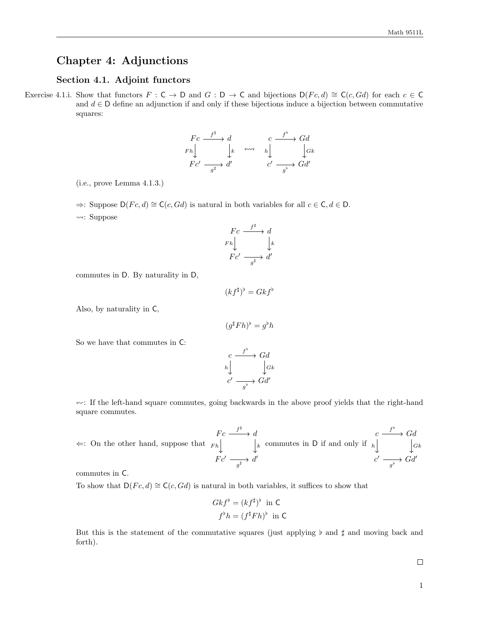# Chapter 4: Adjunctions

## Section 4.1. Adjoint functors

Exercise 4.1.i. Show that functors  $F : \mathsf{C} \to \mathsf{D}$  and  $G : \mathsf{D} \to \mathsf{C}$  and bijections  $\mathsf{D}(Fc,d) \cong \mathsf{C}(c,Gd)$  for each  $c \in \mathsf{C}$ and  $d \in \mathsf{D}$  define an adjunction if and only if these bijections induce a bijection between commutative squares:

$$
\begin{array}{ccc}\nFc & \xrightarrow{f^{\sharp}} & d & & c & \xrightarrow{f^{\flat}} & Gd \\
Fh & & k & \rightsquigarrow & h & & Gk \\
Fc' & \xrightarrow{g^{\sharp}} & d' & & c' & \xrightarrow{g^{\flat}} & Gd'\n\end{array}
$$

(i.e., prove Lemma 4.1.3.)

 $\Rightarrow$ : Suppose D(Fc, d) ≅ C(c, Gd) is natural in both variables for all  $c \in \mathsf{C}, d \in \mathsf{D}$ .

 $\rightsquigarrow$ : Suppose

$$
\begin{array}{ccc}\nFc & \xrightarrow{f^{\sharp}} & d \\
Fh & & \downarrow k \\
Fc' & \xrightarrow{g^{\sharp}} & d'\n\end{array}
$$

commutes in D. By naturality in D,

$$
(kf^{\sharp})^{\flat} = Gkf^{\flat}
$$

Also, by naturality in C,

 $(g^{\sharp}Fh)^{\flat} = g^{\flat}h$ 

So we have that commutes in C:

$$
c \xrightarrow{f^{\flat}} Gd
$$
  
\n
$$
h \downarrow \qquad \qquad \downarrow Gk
$$
  
\n
$$
c' \xrightarrow{g^{\flat}} Gd'
$$

 $\leftarrow$ : If the left-hand square commutes, going backwards in the above proof yields that the right-hand square commutes.

$$
\Leftarrow: \text{ On the other hand, suppose that } \underset{F}{\text{sub}} \downarrow \qquad \underset{F}{\downarrow} \qquad \downarrow \qquad \text{ commutes in } \mathsf{D} \text{ if and only if } \underset{c'}{\downarrow} \downarrow \qquad \underset{c'}{\downarrow} \qquad \underset{g^{\flat}}{\downarrow} \qquad Gd' \qquad \downarrow
$$

commutes in C.

To show that  $D(Fc, d) \cong C(c, Gd)$  is natural in both variables, it suffices to show that

$$
Gkf^{\flat} = (kf^{\sharp})^{\flat} \text{ in } C
$$

$$
f^{\flat}h = (f^{\sharp}Fh)^{\flat} \text{ in } C
$$

But this is the statement of the commutative squares (just applying  $\flat$  and  $\sharp$  and moving back and forth).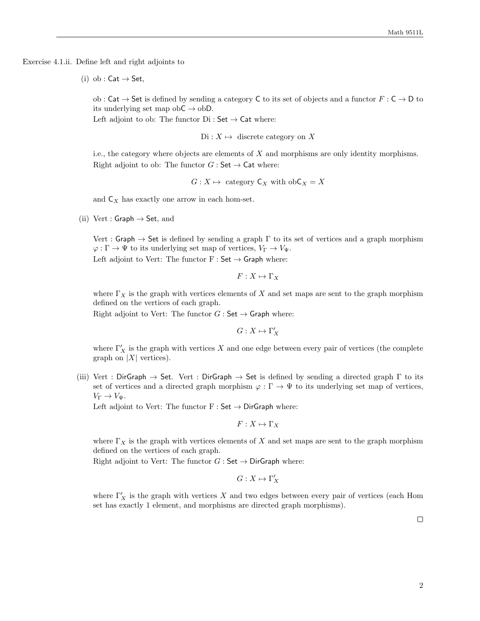Exercise 4.1.ii. Define left and right adjoints to

(i) ob :  $Cat \rightarrow Set$ ,

ob : Cat  $\rightarrow$  Set is defined by sending a category C to its set of objects and a functor  $F : C \rightarrow D$  to its underlying set map ob $C \rightarrow$  obD.

Left adjoint to ob: The functor  $Di : Set \rightarrow Cat$  where:

 $Di : X \mapsto$  discrete category on X

i.e., the category where objects are elements of  $X$  and morphisms are only identity morphisms. Right adjoint to ob: The functor  $G : Set \rightarrow Cat$  where:

 $G: X \mapsto$  category  $C_X$  with ob $C_X = X$ 

and  $C_X$  has exactly one arrow in each hom-set.

(ii) Vert : Graph  $\rightarrow$  Set, and

Vert : Graph  $\rightarrow$  Set is defined by sending a graph  $\Gamma$  to its set of vertices and a graph morphism  $\varphi : \Gamma \to \Psi$  to its underlying set map of vertices,  $V_{\Gamma} \to V_{\Psi}$ . Left adjoint to Vert: The functor  $F : Set \rightarrow Graph$  where:

$$
F:X\mapsto \Gamma_X
$$

where  $\Gamma_X$  is the graph with vertices elements of X and set maps are sent to the graph morphism defined on the vertices of each graph.

Right adjoint to Vert: The functor  $G :$  Set  $\rightarrow$  Graph where:

 $G: X \mapsto \Gamma'_X$ 

where  $\Gamma'_X$  is the graph with vertices X and one edge between every pair of vertices (the complete graph on  $|X|$  vertices).

(iii) Vert : DirGraph  $\rightarrow$  Set. Vert : DirGraph  $\rightarrow$  Set is defined by sending a directed graph  $\Gamma$  to its set of vertices and a directed graph morphism  $\varphi : \Gamma \to \Psi$  to its underlying set map of vertices,  $V_{\Gamma} \to V_{\Psi}$ .

Left adjoint to Vert: The functor  $F : Set \rightarrow DirGraph$  where:

$$
F:X\mapsto \Gamma_X
$$

where  $\Gamma_X$  is the graph with vertices elements of X and set maps are sent to the graph morphism defined on the vertices of each graph.

Right adjoint to Vert: The functor  $G : \mathsf{Set} \to \mathsf{DirGraph}$  where:

 $G: X \mapsto \Gamma'_X$ 

where  $\Gamma'_X$  is the graph with vertices X and two edges between every pair of vertices (each Hom set has exactly 1 element, and morphisms are directed graph morphisms).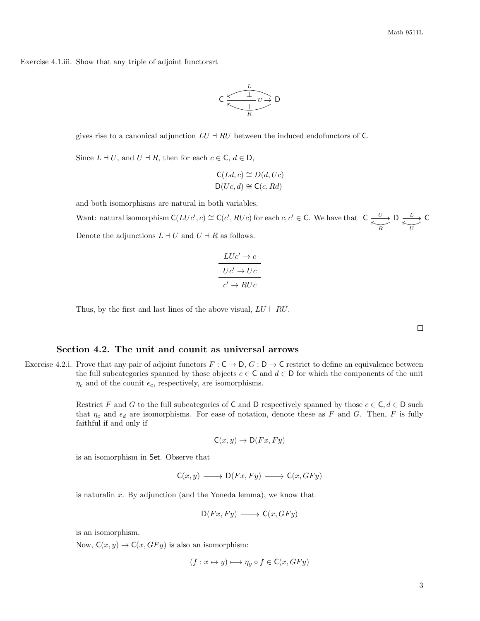Exercise 4.1.iii. Show that any triple of adjoint functorsrt



gives rise to a canonical adjunction  $LU + RU$  between the induced endofunctors of C.

Since  $L \dashv U$ , and  $U \dashv R$ , then for each  $c \in \mathsf{C}$ ,  $d \in \mathsf{D}$ ,

$$
C(Ld, c) \cong D(d, Uc)
$$
  

$$
D(Uc, d) \cong C(c, Rd)
$$

and both isomorphisms are natural in both variables.

Want: natural isomorphism  $C(LUc', c) \cong C(c', RUc)$  for each  $c, c' \in C$ . We have that  $C \xrightarrow{U} D \xrightarrow{L} C$ R L U Denote the adjunctions  $L \dashv U$  and  $U \dashv R$  as follows.

$$
\frac{LUc' \to c}{Uc' \to Uc}
$$

$$
c' \to RUc
$$

Thus, by the first and last lines of the above visual,  $LU \vdash RU$ .

 $\Box$ 

#### Section 4.2. The unit and counit as universal arrows

Exercise 4.2.i. Prove that any pair of adjoint functors  $F: \mathsf{C} \to \mathsf{D}, G: \mathsf{D} \to \mathsf{C}$  restrict to define an equivalence between the full subcategories spanned by those objects  $c \in \mathsf{C}$  and  $d \in \mathsf{D}$  for which the components of the unit  $\eta_c$  and of the counit  $\epsilon_c$ , respectively, are isomorphisms.

> Restrict F and G to the full subcategories of C and D respectively spanned by those  $c \in \mathsf{C}, d \in \mathsf{D}$  such that  $\eta_c$  and  $\epsilon_d$  are isomorphisms. For ease of notation, denote these as F and G. Then, F is fully faithful if and only if

$$
\mathsf{C}(x,y) \to \mathsf{D}(Fx,Fy)
$$

is an isomorphism in Set. Observe that

 $C(x, y) \longrightarrow D(Fx, F y) \longrightarrow C(x, GF y)$ 

is naturalin x. By adjunction (and the Yoneda lemma), we know that

$$
D(Fx, Fy) \longrightarrow C(x, GFy)
$$

is an isomorphism.

Now,  $C(x, y) \rightarrow C(x, GFy)$  is also an isomorphism:

$$
(f: x \mapsto y) \longmapsto \eta_y \circ f \in \mathsf{C}(x, GFy)
$$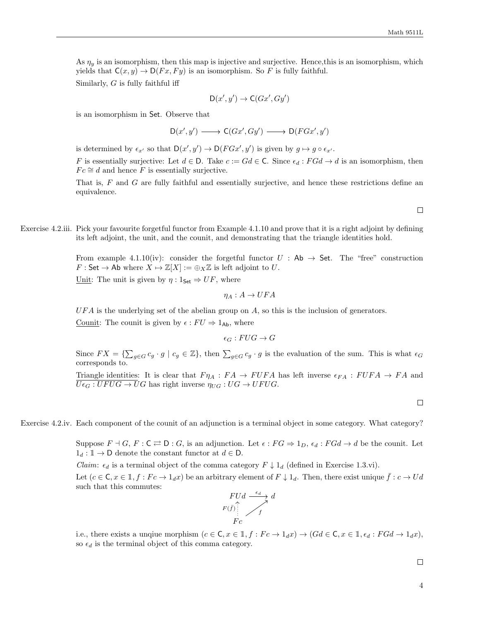As  $\eta_y$  is an isomorphism, then this map is injective and surjective. Hence, this is an isomorphism, which yields that  $C(x, y) \to D(Fx, Fy)$  is an isomorphism. So F is fully faithful.

Similarly,  $G$  is fully faithful iff

$$
\mathsf{D}(x',y') \to \mathsf{C}(Gx',Gy')
$$

is an isomorphism in Set. Observe that

$$
\mathsf{D}(x',y')\longrightarrow \mathsf{C}(Gx',Gy')\longrightarrow \mathsf{D}(FGx',y')
$$

is determined by  $\epsilon_{x'}$  so that  $D(x', y') \to D(FGx', y')$  is given by  $g \mapsto g \circ \epsilon_{x'}$ .

F is essentially surjective: Let  $d \in \mathsf{D}$ . Take  $c := Gd \in \mathsf{C}$ . Since  $\epsilon_d : F G d \to d$  is an isomorphism, then  $Fc \cong d$  and hence F is essentially surjective.

That is, F and G are fully faithful and essentially surjective, and hence these restrictions define an equivalence.

 $\Box$ 

Exercise 4.2.iii. Pick your favourite forgetful functor from Example 4.1.10 and prove that it is a right adjoint by defining its left adjoint, the unit, and the counit, and demonstrating that the triangle identities hold.

> From example 4.1.10(iv): consider the forgetful functor  $U : Ab \rightarrow Set$ . The "free" construction  $F : \mathsf{Set} \to \mathsf{Ab}$  where  $X \mapsto \mathbb{Z}[X] := \bigoplus_X \mathbb{Z}$  is left adjoint to U.

Unit: The unit is given by  $\eta: 1_{\mathsf{Set}} \Rightarrow UF$ , where

$$
\eta_A: A \to UFA
$$

 $UFA$  is the underlying set of the abelian group on  $A$ , so this is the inclusion of generators.

Counit: The counit is given by  $\epsilon : FU \Rightarrow 1_{\text{Ab}}$ , where

$$
\epsilon_G: FUG \to G
$$

Since  $FX = \{\sum_{g \in G} c_g \cdot g \mid c_g \in \mathbb{Z}\}\$ , then  $\sum_{g \in G} c_g \cdot g$  is the evaluation of the sum. This is what  $\epsilon_G$ corresponds to.

Triangle identities: It is clear that  $F \eta_A : FA \to F UFA$  has left inverse  $\epsilon_{FA} : F UFA \to FA$  and  $\overline{U \epsilon_G : UFUG \to U}$  has right inverse  $\eta_{UG} : UG \to UFUG$ .

 $\Box$ 

Exercise 4.2.iv. Each component of the counit of an adjunction is a terminal object in some category. What category?

Suppose  $F \dashv G$ ,  $F : \mathsf{C} \rightleftarrows \mathsf{D} : G$ , is an adjunction. Let  $\epsilon : FG \Rightarrow 1_D$ ,  $\epsilon_d : FGd \to d$  be the counit. Let  $1_d : \mathbb{1} \to \mathsf{D}$  denote the constant functor at  $d \in \mathsf{D}$ .

*Claim:*  $\epsilon_d$  is a terminal object of the comma category  $F \downarrow 1_d$  (defined in Exercise 1.3.vi).

Let  $(c \in \mathsf{C}, x \in \mathbb{1}, f : Fc \to 1_d x)$  be an arbitrary element of  $F \downarrow 1_d$ . Then, there exist unique  $f : c \to Ud$ such that this commutes:



i.e., there exists a unqiue morphism  $(c \in \mathsf{C}, x \in \mathbb{1}, f : Fc \to 1_d x) \to (Gd \in \mathsf{C}, x \in \mathbb{1}, \epsilon_d : FGd \to 1_d x)$ , so  $\epsilon_d$  is the terminal object of this comma category.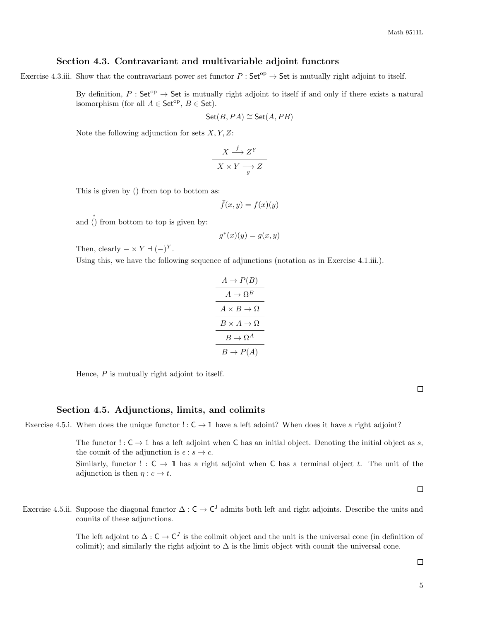## Section 4.3. Contravariant and multivariable adjoint functors

Exercise 4.3.iii. Show that the contravariant power set functor  $P : \mathsf{Set}^{op} \to \mathsf{Set}$  is mutually right adjoint to itself.

By definition,  $P : \mathsf{Set}^{op} \to \mathsf{Set}$  is mutually right adjoint to itself if and only if there exists a natural isomorphism (for all  $A \in \mathsf{Set}^{\mathrm{op}}, B \in \mathsf{Set}$ ).

$$
Set(B, PA) \cong Set(A, PB)
$$

Note the following adjunction for sets  $X, Y, Z$ :

$$
\frac{X \xrightarrow{f} Z^Y}{X \times Y \xrightarrow{g} Z}
$$

This is given by  $\overline{()}$  from top to bottom as:

$$
\bar{f}(x,y) = f(x)(y)
$$

and  $\hat{()}$  from bottom to top is given by:

$$
g^*(x)(y) = g(x, y)
$$

Then, clearly  $-\times Y \dashv (-)^Y$ .

Using this, we have the following sequence of adjunctions (notation as in Exercise 4.1.iii.).

$$
\begin{array}{c}\nA \to P(B) \\
\hline\nA \to \Omega^B \\
\hline\nA \times B \to \Omega \\
\hline\nB \to \Omega^A \\
\hline\nB \to P(A)\n\end{array}
$$

Hence,  $P$  is mutually right adjoint to itself.

 $\Box$ 

#### Section 4.5. Adjunctions, limits, and colimits

Exercise 4.5.i. When does the unique functor  $\cdot : \mathsf{C} \to \mathbb{1}$  have a left adoint? When does it have a right adjoint?

The functor  $! : \mathsf{C} \to \mathbb{1}$  has a left adjoint when  $\mathsf{C}$  has an initial object. Denoting the initial object as s, the counit of the adjunction is  $\epsilon : s \to c$ .

Similarly, functor ! :  $C \rightarrow \mathbb{1}$  has a right adjoint when C has a terminal object t. The unit of the adjunction is then  $\eta : c \to t$ .

 $\Box$ 

Exercise 4.5.ii. Suppose the diagonal functor  $\Delta: \mathsf{C} \to \mathsf{C}^{\mathsf{J}}$  admits both left and right adjoints. Describe the units and counits of these adjunctions.

> The left adjoint to  $\Delta: \mathsf{C} \to \mathsf{C}^J$  is the colimit object and the unit is the universal cone (in definition of colimit); and similarly the right adjoint to  $\Delta$  is the limit object with counit the universal cone.